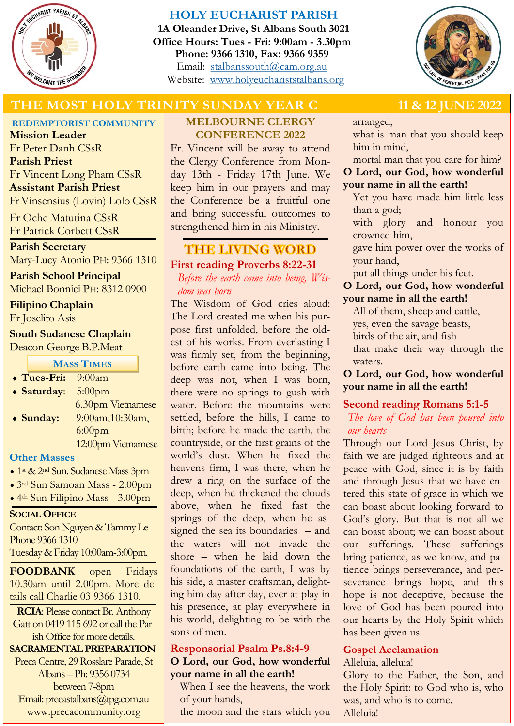

# **HOLY EUCHARIST PARISH**

**1A Oleander Drive, St Albans South 3021 Office Hours: Tues - Fri: 9:00am - 3.30pm Phone: 9366 1310, Fax: 9366 9359** Email: [stalbanssouth@cam.org.au](mailto:stalbanssouth@cam.org.au) Website:[www.holyeuchariststalbans.org](http://www.holyeuchariststalbans.org)



# THE MOST HOLY TRINITY SUNDAY YEAR C 11 & 12 JUNE 2022

#### **REDEMPTORIST COMMUNITY**

**Mission Leader** Fr Peter Danh CSsR **Parish Priest** Fr Vincent Long Pham CSsR **Assistant Parish Priest**  Fr Vinsensius (Lovin) Lolo CSsR

Fr Oche Matutina CSsR Fr Patrick Corbett CSsR

#### **Parish Secretary**

Mary-Lucy Atonio PH: 9366 1310

**Parish School Principal** Michael Bonnici PH: 8312 0900

# **Filipino Chaplain**

Fr Joselito Asis

#### **South Sudanese Chaplain**

Deacon George B.P.Meat

**MASS TIMES**

 **Tues-Fri:** 9:00am **Saturday**: 5:00pm 6.30pm Vietnamese **Sunday:** 9:00am,10:30am, 6:00pm 12:00pm Vietnamese

# **Other Masses**

- 1<sup>st</sup> & 2<sup>nd</sup> Sun. Sudanese Mass 3pm
- 3rd Sun Samoan Mass 2.00pm
- 4th Sun Filipino Mass 3.00pm

# **SOCIAL OFFICE**

Contact: Son Nguyen & Tammy Le Phone 9366 1310

Tuesday & Friday 10:00am-3:00pm.

**FOODBANK** open Fridays 10.30am until 2.00pm. More details call Charlie 03 9366 1310.

**RCIA**: Please contact Br. Anthony Gatt on 0419 115 692 or call the Parish Office for more details.

# **SACRAMENTAL PREPARATION**

Preca Centre, 29 Rosslare Parade, St Albans – Ph: 9356 0734 between 7-8pm Email: precastalbans@tpg.com.au www.precacommunity.org

# **MELBOURNE CLERGY CONFERENCE 2022**

Fr. Vincent will be away to attend the Clergy Conference from Monday 13th - Friday 17th June. We keep him in our prayers and may the Conference be a fruitful one and bring successful outcomes to strengthened him in his Ministry.

# **THE LIVING WORD**

# **First reading Proverbs 8:22-31**

*Before the earth came into being, Wisdom was born*

The Wisdom of God cries aloud: The Lord created me when his purpose first unfolded, before the oldest of his works. From everlasting I was firmly set, from the beginning, before earth came into being. The deep was not, when I was born, there were no springs to gush with water. Before the mountains were settled, before the hills, I came to birth; before he made the earth, the countryside, or the first grains of the world's dust. When he fixed the heavens firm, I was there, when he drew a ring on the surface of the deep, when he thickened the clouds above, when he fixed fast the springs of the deep, when he assigned the sea its boundaries – and the waters will not invade the shore – when he laid down the foundations of the earth, I was by his side, a master craftsman, delighting him day after day, ever at play in his presence, at play everywhere in his world, delighting to be with the sons of men.

#### **Responsorial Psalm Ps.8:4-9 O Lord, our God, how wonderful your name in all the earth!**

When I see the heavens, the work of your hands,

the moon and the stars which you

arranged,

what is man that you should keep him in mind,

mortal man that you care for him? **O Lord, our God, how wonderful** 

# **your name in all the earth!**

Yet you have made him little less than a god;

with glory and honour you crowned him,

gave him power over the works of your hand,

put all things under his feet.

#### **O Lord, our God, how wonderful your name in all the earth!**

All of them, sheep and cattle, yes, even the savage beasts,

birds of the air, and fish

that make their way through the waters.

# **O Lord, our God, how wonderful your name in all the earth!**

# **Second reading Romans 5:1-5**

*The love of God has been poured into our hearts*

Through our Lord Jesus Christ, by faith we are judged righteous and at peace with God, since it is by faith and through Jesus that we have entered this state of grace in which we can boast about looking forward to God's glory. But that is not all we can boast about; we can boast about our sufferings. These sufferings bring patience, as we know, and patience brings perseverance, and perseverance brings hope, and this hope is not deceptive, because the love of God has been poured into our hearts by the Holy Spirit which has been given us.

# **Gospel Acclamation**

Alleluia, alleluia!

Glory to the Father, the Son, and the Holy Spirit: to God who is, who was, and who is to come. Alleluia!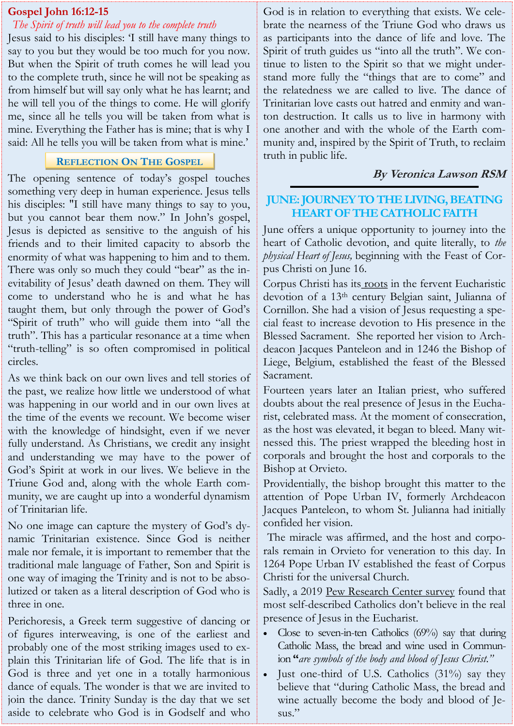# **Gospel John 16:12-15**

#### *The Spirit of truth will lead you to the complete truth*

Jesus said to his disciples: 'I still have many things to say to you but they would be too much for you now. But when the Spirit of truth comes he will lead you to the complete truth, since he will not be speaking as from himself but will say only what he has learnt; and he will tell you of the things to come. He will glorify me, since all he tells you will be taken from what is mine. Everything the Father has is mine; that is why I said: All he tells you will be taken from what is mine.'

# **REFLECTION ON THE GOSPEL**

The opening sentence of today's gospel touches something very deep in human experience. Jesus tells his disciples: "I still have many things to say to you, but you cannot bear them now." In John's gospel, Jesus is depicted as sensitive to the anguish of his friends and to their limited capacity to absorb the enormity of what was happening to him and to them. There was only so much they could "bear" as the inevitability of Jesus' death dawned on them. They will come to understand who he is and what he has taught them, but only through the power of God's "Spirit of truth" who will guide them into "all the truth". This has a particular resonance at a time when "truth-telling" is so often compromised in political circles.

As we think back on our own lives and tell stories of the past, we realize how little we understood of what was happening in our world and in our own lives at the time of the events we recount. We become wiser with the knowledge of hindsight, even if we never fully understand. As Christians, we credit any insight and understanding we may have to the power of God's Spirit at work in our lives. We believe in the Triune God and, along with the whole Earth community, we are caught up into a wonderful dynamism of Trinitarian life.

No one image can capture the mystery of God's dynamic Trinitarian existence. Since God is neither male nor female, it is important to remember that the traditional male language of Father, Son and Spirit is one way of imaging the Trinity and is not to be absolutized or taken as a literal description of God who is three in one.

Perichoresis, a Greek term suggestive of dancing or of figures interweaving, is one of the earliest and probably one of the most striking images used to explain this Trinitarian life of God. The life that is in God is three and yet one in a totally harmonious dance of equals. The wonder is that we are invited to join the dance. Trinity Sunday is the day that we set aside to celebrate who God is in Godself and who

God is in relation to everything that exists. We celebrate the nearness of the Triune God who draws us as participants into the dance of life and love. The Spirit of truth guides us "into all the truth". We continue to listen to the Spirit so that we might understand more fully the "things that are to come" and the relatedness we are called to live. The dance of Trinitarian love casts out hatred and enmity and wanton destruction. It calls us to live in harmony with one another and with the whole of the Earth community and, inspired by the Spirit of Truth, to reclaim truth in public life.

# **By Veronica Lawson RSM**

# **JUNE: JOURNEY TO THE LIVING, BEATING HEART OF THE CATHOLIC FAITH**

June offers a unique opportunity to journey into the heart of Catholic devotion, and quite literally, to *the physical Heart of Jesus,* beginning with the Feast of Corpus Christi on June 16.

Corpus Christi has its [roots](https://diocesecc.org/history-of-the-feast-of-corpus-christi/) in the fervent Eucharistic devotion of a 13th century Belgian saint, Julianna of Cornillon. She had a vision of Jesus requesting a special feast to increase devotion to His presence in the Blessed Sacrament. She reported her vision to Archdeacon Jacques Panteleon and in 1246 the Bishop of Liege, Belgium, established the feast of the Blessed Sacrament.

Fourteen years later an Italian priest, who suffered doubts about the real presence of Jesus in the Eucharist, celebrated mass. At the moment of consecration, as the host was elevated, it began to bleed. Many witnessed this. The priest wrapped the bleeding host in corporals and brought the host and corporals to the Bishop at Orvieto.

Providentially, the bishop brought this matter to the attention of Pope Urban IV, formerly Archdeacon Jacques Panteleon, to whom St. Julianna had initially confided her vision.

The miracle was affirmed, and the host and corporals remain in Orvieto for veneration to this day. In 1264 Pope Urban IV established the feast of Corpus Christi for the universal Church.

Sadly, a 2019 [Pew Research Center survey](https://www.pewforum.org/2019/07/23/what-americans-know-about-religion/) found that most self-described Catholics don't believe in the real presence of Jesus in the Eucharist.

- Close to seven-in-ten Catholics  $(69\%)$  say that during Catholic Mass, the bread and wine used in Communion **"***are symbols of the body and blood of Jesus Christ."*
- Just one-third of U.S. Catholics (31%) say they believe that "during Catholic Mass, the bread and wine actually become the body and blood of Jesus."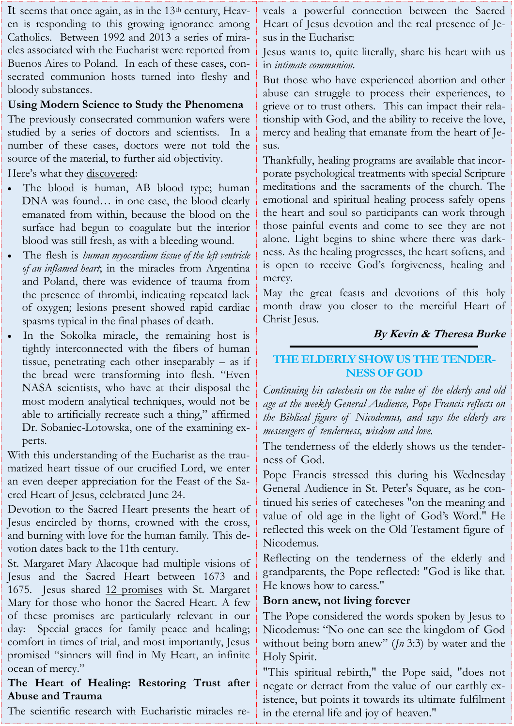It seems that once again, as in the 13<sup>th</sup> century, Heaven is responding to this growing ignorance among Catholics. Between 1992 and 2013 a series of miracles associated with the Eucharist were reported from Buenos Aires to Poland. In each of these cases, consecrated communion hosts turned into fleshy and bloody substances.

### **Using Modern Science to Study the Phenomena**

The previously consecrated communion wafers were studied by a series of doctors and scientists. In a number of these cases, doctors were not told the source of the material, to further aid objectivity.

Here's what they [discovered:](https://media.ascensionpress.com/2021/11/03/the-amazing-science-of-recent-eucharistic-miracles-a-message-from-heaven-%EF%BB%BF/)

- The blood is human, AB blood type; human DNA was found… in one case, the blood clearly emanated from within, because the blood on the surface had begun to coagulate but the interior blood was still fresh, as with a bleeding wound.
- The flesh is *human myocardium tissue of the left ventricle of an inflamed heart*; in the miracles from Argentina and Poland, there was evidence of trauma from the presence of thrombi, indicating repeated lack of oxygen; lesions present showed rapid cardiac spasms typical in the final phases of death.
- In the Sokolka miracle, the remaining host is tightly interconnected with the fibers of human tissue, penetrating each other inseparably – as if the bread were transforming into flesh. "Even NASA scientists, who have at their disposal the most modern analytical techniques, would not be able to artificially recreate such a thing," affirmed Dr. Sobaniec-Lotowska, one of the examining experts.

With this understanding of the Eucharist as the traumatized heart tissue of our crucified Lord, we enter an even deeper appreciation for the Feast of the Sacred Heart of Jesus, celebrated June 24.

Devotion to the Sacred Heart presents the heart of Jesus encircled by thorns, crowned with the cross, and burning with love for the human family. This devotion dates back to the 11th century.

St. Margaret Mary Alacoque had multiple visions of Jesus and the Sacred Heart between 1673 and 1675. Jesus shared [12 promises](https://www.catholicnewsagency.com/saint/the-most-sacred-heart-of-jesus-275) with St. Margaret Mary for those who honor the Sacred Heart. A few of these promises are particularly relevant in our day: Special graces for family peace and healing; comfort in times of trial, and most importantly, Jesus promised "sinners will find in My Heart, an infinite ocean of mercy."

# **The Heart of Healing: Restoring Trust after Abuse and Trauma**

The scientific research with Eucharistic miracles re-

veals a powerful connection between the Sacred Heart of Jesus devotion and the real presence of Jesus in the Eucharist:

Jesus wants to, quite literally, share his heart with us in *intimate communion*.

But those who have experienced abortion and other abuse can struggle to process their experiences, to grieve or to trust others. This can impact their relationship with God, and the ability to receive the love, mercy and healing that emanate from the heart of Jesus.

Thankfully, healing programs are available that incorporate psychological treatments with special Scripture meditations and the sacraments of the church. The emotional and spiritual healing process safely opens the heart and soul so participants can work through those painful events and come to see they are not alone. Light begins to shine where there was darkness. As the healing progresses, the heart softens, and is open to receive God's forgiveness, healing and mercy.

May the great feasts and devotions of this holy month draw you closer to the merciful Heart of Christ Jesus.

# **By Kevin & Theresa Burke**

#### **THE ELDERLY SHOW US THE TENDER-NESS OF GOD**

*Continuing his catechesis on the value of the elderly and old age at the weekly General Audience, Pope Francis reflects on the Biblical figure of Nicodemus, and says the elderly are messengers of tenderness, wisdom and love.*

The tenderness of the elderly shows us the tenderness of God.

Pope Francis stressed this during his Wednesday General Audience in St. Peter's Square, as he continued his series of catecheses "on the meaning and value of old age in the light of God's Word." He reflected this week on the Old Testament figure of Nicodemus.

Reflecting on the tenderness of the elderly and grandparents, the Pope reflected: "God is like that. He knows how to caress."

# **Born anew, not living forever**

The Pope considered the words spoken by Jesus to Nicodemus: "No one can see the kingdom of God without being born anew" (*Jn* 3:3) by water and the Holy Spirit.

"This spiritual rebirth," the Pope said, "does not negate or detract from the value of our earthly existence, but points it towards its ultimate fulfilment in the eternal life and joy of heaven."